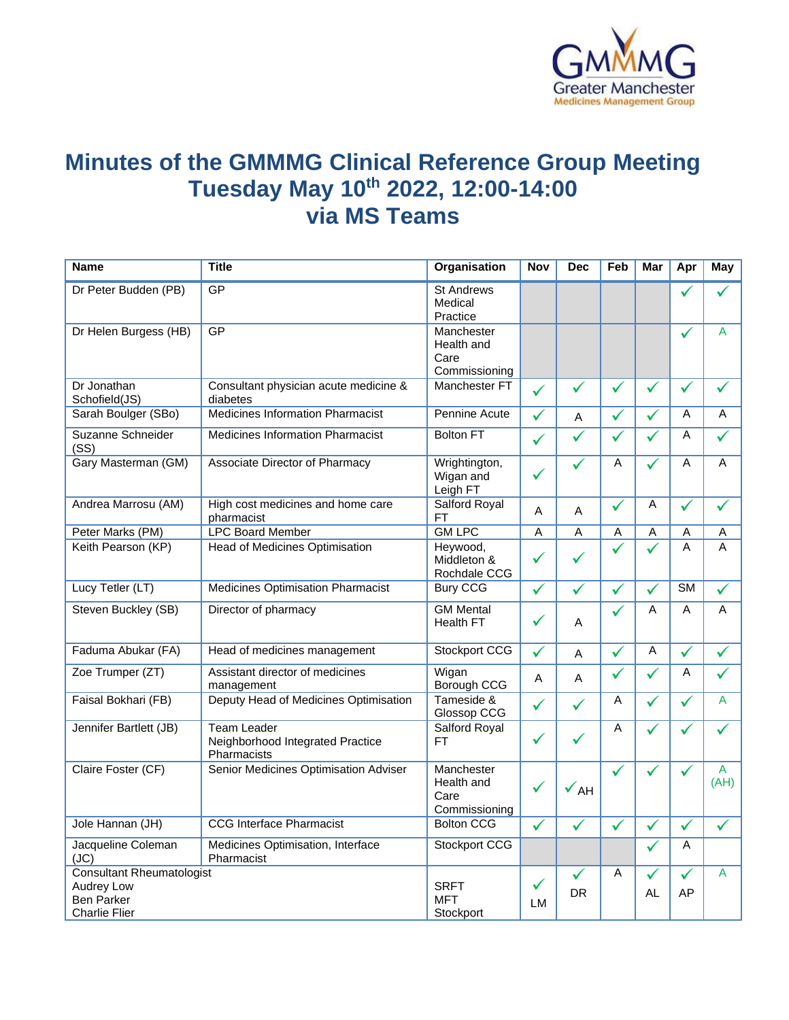

## **Minutes of the GMMMG Clinical Reference Group Meeting Tuesday May 10th 2022, 12:00-14:00 via MS Teams**

| <b>Name</b>                               | <b>Title</b>                                                          | Organisation                                      | Nov          | <b>Dec</b>      | Feb          | Mar          | Apr                    | May          |
|-------------------------------------------|-----------------------------------------------------------------------|---------------------------------------------------|--------------|-----------------|--------------|--------------|------------------------|--------------|
| Dr Peter Budden (PB)                      | GP                                                                    | <b>St Andrews</b><br>Medical<br>Practice          |              |                 |              |              |                        |              |
| Dr Helen Burgess (HB)                     | GP                                                                    | Manchester<br>Health and<br>Care<br>Commissioning |              |                 |              |              | $\checkmark$           | A            |
| Dr Jonathan<br>Schofield(JS)              | Consultant physician acute medicine &<br>diabetes                     | Manchester FT                                     | $\checkmark$ | $\checkmark$    | $\checkmark$ | $\checkmark$ | $\checkmark$           | $\checkmark$ |
| Sarah Boulger (SBo)                       | <b>Medicines Information Pharmacist</b>                               | Pennine Acute                                     | $\checkmark$ | A               | $\checkmark$ | ✓            | A                      | A            |
| Suzanne Schneider<br>(SS)                 | <b>Medicines Information Pharmacist</b>                               | <b>Bolton FT</b>                                  | $\checkmark$ | $\checkmark$    | ✓            | ✓            | A                      | $\checkmark$ |
| Gary Masterman (GM)                       | Associate Director of Pharmacy                                        | Wrightington,<br>Wigan and<br>Leigh FT            | ✓            | ✓               | A            | ✓            | A                      | A            |
| Andrea Marrosu (AM)                       | High cost medicines and home care<br>pharmacist                       | Salford Royal<br><b>FT</b>                        | A            | A               | $\checkmark$ | A            | ✓                      | ✓            |
| Peter Marks (PM)                          | <b>LPC Board Member</b>                                               | <b>GM LPC</b>                                     | A            | A               | A            | Α            | A                      | Α            |
| Keith Pearson (KP)                        | <b>Head of Medicines Optimisation</b>                                 | Heywood,<br>Middleton &<br>Rochdale CCG           | $\checkmark$ | $\checkmark$    | ✓            | ✓            | A                      | A            |
| Lucy Tetler (LT)                          | Medicines Optimisation Pharmacist                                     | <b>Bury CCG</b>                                   | $\checkmark$ | ✓               | $\checkmark$ | $\checkmark$ | $\overline{\text{SM}}$ | $\checkmark$ |
| Steven Buckley (SB)                       | Director of pharmacy                                                  | <b>GM Mental</b><br><b>Health FT</b>              | ✓            | A               | ✓            | A            | A                      | A            |
| Faduma Abukar (FA)                        | Head of medicines management                                          | Stockport CCG                                     | $\checkmark$ | A               | $\checkmark$ | A            | ✓                      | $\checkmark$ |
| Zoe Trumper (ZT)                          | Assistant director of medicines<br>management                         | Wigan<br>Borough CCG                              | Α            | A               | ✓            | $\checkmark$ | A                      | ✓            |
| Faisal Bokhari (FB)                       | Deputy Head of Medicines Optimisation                                 | Tameside &<br>Glossop CCG                         | $\checkmark$ | $\checkmark$    | A            | ✓            | ✓                      | A            |
| Jennifer Bartlett (JB)                    | <b>Team Leader</b><br>Neighborhood Integrated Practice<br>Pharmacists | Salford Royal<br>FT                               | ✓            | ✓               | Α            | $\checkmark$ | ✓                      | $\checkmark$ |
| Claire Foster (CF)                        | Senior Medicines Optimisation Adviser                                 | Manchester<br>Health and<br>Care<br>Commissioning | $\checkmark$ | $\checkmark$ AH | ✓            |              |                        | A<br>(AH)    |
| Jole Hannan (JH)                          | <b>CCG</b> Interface Pharmacist                                       | <b>Bolton CCG</b>                                 | $\checkmark$ | ✓               | ✓            | $\checkmark$ | $\checkmark$           | $\checkmark$ |
| Jacqueline Coleman<br>(JC)                | Medicines Optimisation, Interface<br>Pharmacist                       | <b>Stockport CCG</b>                              |              |                 |              | $\checkmark$ | A                      |              |
| <b>Consultant Rheumatologist</b>          |                                                                       |                                                   |              | $\checkmark$    | A            | ✓            | ✓                      | A            |
| Audrey Low                                |                                                                       | <b>SRFT</b>                                       | $\checkmark$ | DR.             |              | AL           | AP                     |              |
| <b>Ben Parker</b><br><b>Charlie Flier</b> |                                                                       | <b>MFT</b>                                        | <b>LM</b>    |                 |              |              |                        |              |
|                                           |                                                                       | Stockport                                         |              |                 |              |              |                        |              |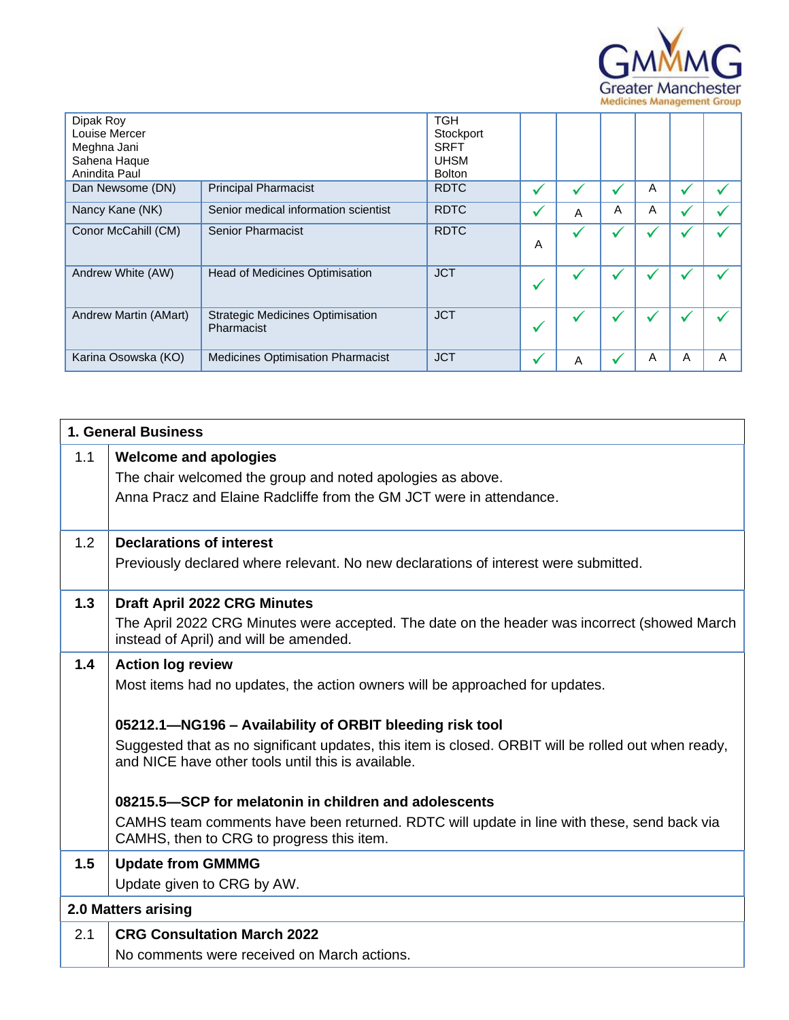

| Dipak Roy<br>Louise Mercer<br>Meghna Jani<br>Sahena Haque<br>Anindita Paul | <b>TGH</b><br>Stockport<br><b>SRFT</b><br><b>UHSM</b><br><b>Bolton</b> |             |   |              |   |   |   |   |
|----------------------------------------------------------------------------|------------------------------------------------------------------------|-------------|---|--------------|---|---|---|---|
| Dan Newsome (DN)                                                           | <b>Principal Pharmacist</b>                                            | <b>RDTC</b> | ✓ |              |   | A |   |   |
| Nancy Kane (NK)                                                            | Senior medical information scientist                                   | <b>RDTC</b> | ✔ | A            | A | A |   |   |
| Conor McCahill (CM)                                                        | <b>Senior Pharmacist</b>                                               | <b>RDTC</b> | А | $\checkmark$ |   |   |   |   |
| Andrew White (AW)                                                          | <b>Head of Medicines Optimisation</b>                                  | <b>JCT</b>  | ✔ | $\checkmark$ |   |   |   |   |
| Andrew Martin (AMart)                                                      | <b>Strategic Medicines Optimisation</b><br>Pharmacist                  | <b>JCT</b>  | ✔ | $\checkmark$ |   |   |   |   |
| Karina Osowska (KO)                                                        | <b>Medicines Optimisation Pharmacist</b>                               | <b>JCT</b>  | ✔ | Α            |   | A | A | A |

| 1. General Business |                                                                                                                                                           |  |  |  |
|---------------------|-----------------------------------------------------------------------------------------------------------------------------------------------------------|--|--|--|
| 1.1                 | <b>Welcome and apologies</b>                                                                                                                              |  |  |  |
|                     | The chair welcomed the group and noted apologies as above.                                                                                                |  |  |  |
|                     | Anna Pracz and Elaine Radcliffe from the GM JCT were in attendance.                                                                                       |  |  |  |
| 1.2                 | <b>Declarations of interest</b>                                                                                                                           |  |  |  |
|                     | Previously declared where relevant. No new declarations of interest were submitted.                                                                       |  |  |  |
| 1.3                 | <b>Draft April 2022 CRG Minutes</b>                                                                                                                       |  |  |  |
|                     | The April 2022 CRG Minutes were accepted. The date on the header was incorrect (showed March<br>instead of April) and will be amended.                    |  |  |  |
| 1.4                 | <b>Action log review</b>                                                                                                                                  |  |  |  |
|                     | Most items had no updates, the action owners will be approached for updates.                                                                              |  |  |  |
|                     | 05212.1-NG196 - Availability of ORBIT bleeding risk tool                                                                                                  |  |  |  |
|                     | Suggested that as no significant updates, this item is closed. ORBIT will be rolled out when ready,<br>and NICE have other tools until this is available. |  |  |  |
|                     | 08215.5–SCP for melatonin in children and adolescents                                                                                                     |  |  |  |
|                     | CAMHS team comments have been returned. RDTC will update in line with these, send back via<br>CAMHS, then to CRG to progress this item.                   |  |  |  |
| 1.5                 | <b>Update from GMMMG</b>                                                                                                                                  |  |  |  |
|                     | Update given to CRG by AW.                                                                                                                                |  |  |  |
|                     | 2.0 Matters arising                                                                                                                                       |  |  |  |
| 2.1                 | <b>CRG Consultation March 2022</b>                                                                                                                        |  |  |  |
|                     | No comments were received on March actions.                                                                                                               |  |  |  |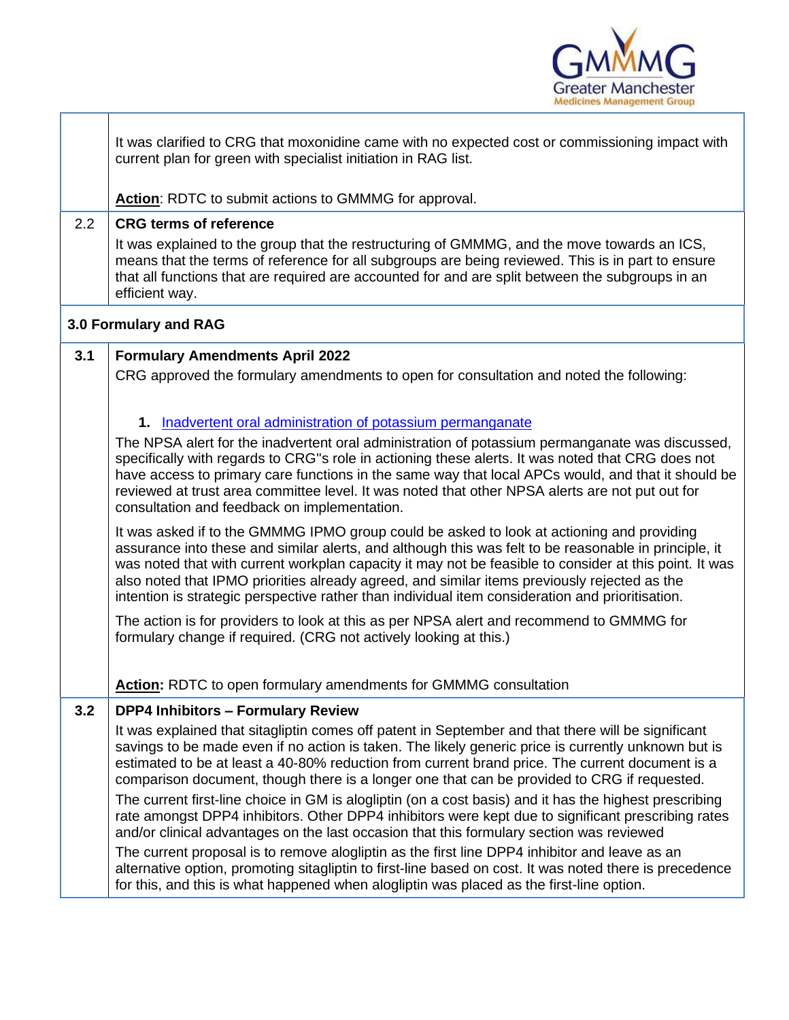

|     | It was clarified to CRG that moxonidine came with no expected cost or commissioning impact with<br>current plan for green with specialist initiation in RAG list.                                                                                                                                                                                                                                                                                                                                                |
|-----|------------------------------------------------------------------------------------------------------------------------------------------------------------------------------------------------------------------------------------------------------------------------------------------------------------------------------------------------------------------------------------------------------------------------------------------------------------------------------------------------------------------|
|     | Action: RDTC to submit actions to GMMMG for approval.                                                                                                                                                                                                                                                                                                                                                                                                                                                            |
| 2.2 | <b>CRG terms of reference</b>                                                                                                                                                                                                                                                                                                                                                                                                                                                                                    |
|     | It was explained to the group that the restructuring of GMMMG, and the move towards an ICS,<br>means that the terms of reference for all subgroups are being reviewed. This is in part to ensure<br>that all functions that are required are accounted for and are split between the subgroups in an<br>efficient way.                                                                                                                                                                                           |
|     | 3.0 Formulary and RAG                                                                                                                                                                                                                                                                                                                                                                                                                                                                                            |
| 3.1 | <b>Formulary Amendments April 2022</b>                                                                                                                                                                                                                                                                                                                                                                                                                                                                           |
|     | CRG approved the formulary amendments to open for consultation and noted the following:                                                                                                                                                                                                                                                                                                                                                                                                                          |
|     | 1. Inadvertent oral administration of potassium permanganate                                                                                                                                                                                                                                                                                                                                                                                                                                                     |
|     | The NPSA alert for the inadvertent oral administration of potassium permanganate was discussed,<br>specifically with regards to CRG"s role in actioning these alerts. It was noted that CRG does not<br>have access to primary care functions in the same way that local APCs would, and that it should be<br>reviewed at trust area committee level. It was noted that other NPSA alerts are not put out for<br>consultation and feedback on implementation.                                                    |
|     | It was asked if to the GMMMG IPMO group could be asked to look at actioning and providing<br>assurance into these and similar alerts, and although this was felt to be reasonable in principle, it<br>was noted that with current workplan capacity it may not be feasible to consider at this point. It was<br>also noted that IPMO priorities already agreed, and similar items previously rejected as the<br>intention is strategic perspective rather than individual item consideration and prioritisation. |
|     | The action is for providers to look at this as per NPSA alert and recommend to GMMMG for<br>formulary change if required. (CRG not actively looking at this.)                                                                                                                                                                                                                                                                                                                                                    |
|     | Action: RDTC to open formulary amendments for GMMMG consultation                                                                                                                                                                                                                                                                                                                                                                                                                                                 |
| 3.2 | <b>DPP4 Inhibitors - Formulary Review</b>                                                                                                                                                                                                                                                                                                                                                                                                                                                                        |
|     | It was explained that sitagliptin comes off patent in September and that there will be significant<br>savings to be made even if no action is taken. The likely generic price is currently unknown but is<br>estimated to be at least a 40-80% reduction from current brand price. The current document is a<br>comparison document, though there is a longer one that can be provided to CRG if requested.                                                                                                      |
|     | The current first-line choice in GM is alogliptin (on a cost basis) and it has the highest prescribing<br>rate amongst DPP4 inhibitors. Other DPP4 inhibitors were kept due to significant prescribing rates<br>and/or clinical advantages on the last occasion that this formulary section was reviewed                                                                                                                                                                                                         |
|     | The current proposal is to remove alogliptin as the first line DPP4 inhibitor and leave as an<br>alternative option, promoting sitagliptin to first-line based on cost. It was noted there is precedence<br>for this, and this is what happened when alogliptin was placed as the first-line option.                                                                                                                                                                                                             |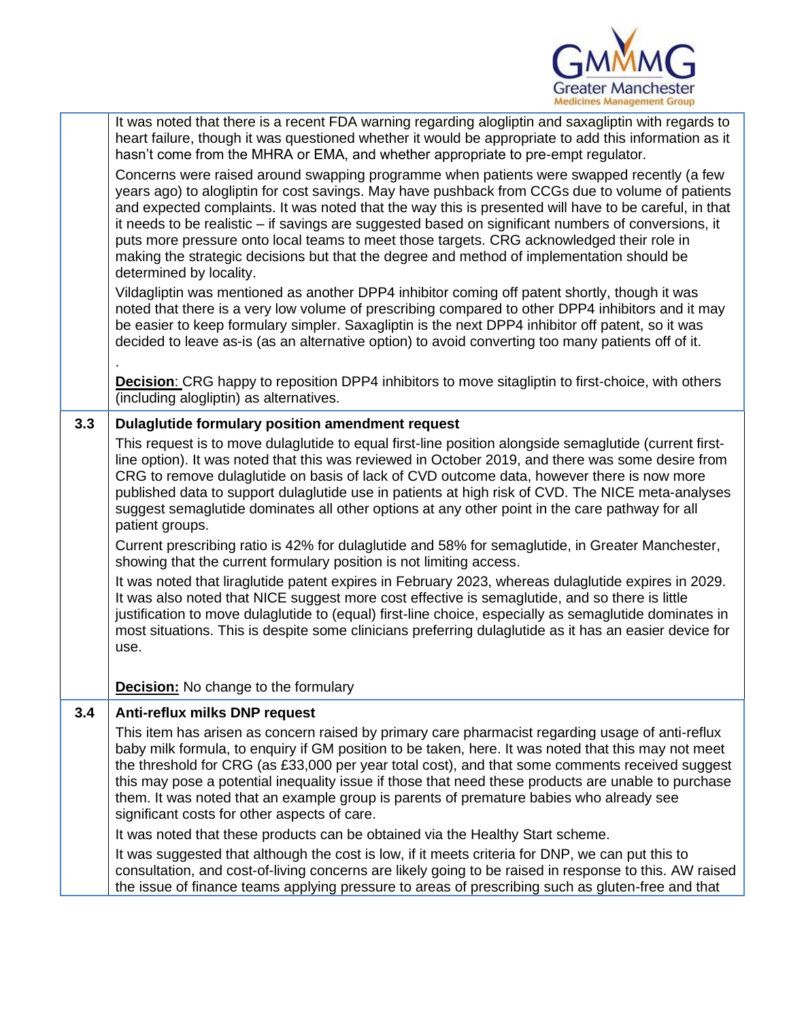

|     | It was noted that there is a recent FDA warning regarding alogliptin and saxagliptin with regards to<br>heart failure, though it was questioned whether it would be appropriate to add this information as it<br>hasn't come from the MHRA or EMA, and whether appropriate to pre-empt regulator.                                                                                                                                                                                                                                                                                                                                  |
|-----|------------------------------------------------------------------------------------------------------------------------------------------------------------------------------------------------------------------------------------------------------------------------------------------------------------------------------------------------------------------------------------------------------------------------------------------------------------------------------------------------------------------------------------------------------------------------------------------------------------------------------------|
|     | Concerns were raised around swapping programme when patients were swapped recently (a few<br>years ago) to alogliptin for cost savings. May have pushback from CCGs due to volume of patients<br>and expected complaints. It was noted that the way this is presented will have to be careful, in that<br>it needs to be realistic – if savings are suggested based on significant numbers of conversions, it<br>puts more pressure onto local teams to meet those targets. CRG acknowledged their role in<br>making the strategic decisions but that the degree and method of implementation should be<br>determined by locality. |
|     | Vildagliptin was mentioned as another DPP4 inhibitor coming off patent shortly, though it was<br>noted that there is a very low volume of prescribing compared to other DPP4 inhibitors and it may<br>be easier to keep formulary simpler. Saxagliptin is the next DPP4 inhibitor off patent, so it was<br>decided to leave as-is (as an alternative option) to avoid converting too many patients off of it.                                                                                                                                                                                                                      |
|     | <b>Decision:</b> CRG happy to reposition DPP4 inhibitors to move sitagliptin to first-choice, with others<br>(including alogliptin) as alternatives.                                                                                                                                                                                                                                                                                                                                                                                                                                                                               |
| 3.3 | Dulaglutide formulary position amendment request                                                                                                                                                                                                                                                                                                                                                                                                                                                                                                                                                                                   |
|     | This request is to move dulaglutide to equal first-line position alongside semaglutide (current first-<br>line option). It was noted that this was reviewed in October 2019, and there was some desire from<br>CRG to remove dulaglutide on basis of lack of CVD outcome data, however there is now more<br>published data to support dulaglutide use in patients at high risk of CVD. The NICE meta-analyses<br>suggest semaglutide dominates all other options at any other point in the care pathway for all<br>patient groups.                                                                                                 |
|     | Current prescribing ratio is 42% for dulaglutide and 58% for semaglutide, in Greater Manchester,<br>showing that the current formulary position is not limiting access.                                                                                                                                                                                                                                                                                                                                                                                                                                                            |
|     | It was noted that liraglutide patent expires in February 2023, whereas dulaglutide expires in 2029.<br>It was also noted that NICE suggest more cost effective is semaglutide, and so there is little<br>justification to move dulaglutide to (equal) first-line choice, especially as semaglutide dominates in<br>most situations. This is despite some clinicians preferring dulaglutide as it has an easier device for<br>use.                                                                                                                                                                                                  |
|     | <b>Decision:</b> No change to the formulary                                                                                                                                                                                                                                                                                                                                                                                                                                                                                                                                                                                        |
| 3.4 | Anti-reflux milks DNP request                                                                                                                                                                                                                                                                                                                                                                                                                                                                                                                                                                                                      |
|     | This item has arisen as concern raised by primary care pharmacist regarding usage of anti-reflux<br>baby milk formula, to enquiry if GM position to be taken, here. It was noted that this may not meet<br>the threshold for CRG (as £33,000 per year total cost), and that some comments received suggest<br>this may pose a potential inequality issue if those that need these products are unable to purchase<br>them. It was noted that an example group is parents of premature babies who already see<br>significant costs for other aspects of care.                                                                       |
|     | It was noted that these products can be obtained via the Healthy Start scheme.                                                                                                                                                                                                                                                                                                                                                                                                                                                                                                                                                     |
|     | It was suggested that although the cost is low, if it meets criteria for DNP, we can put this to<br>consultation, and cost-of-living concerns are likely going to be raised in response to this. AW raised<br>the issue of finance teams applying pressure to areas of prescribing such as gluten-free and that                                                                                                                                                                                                                                                                                                                    |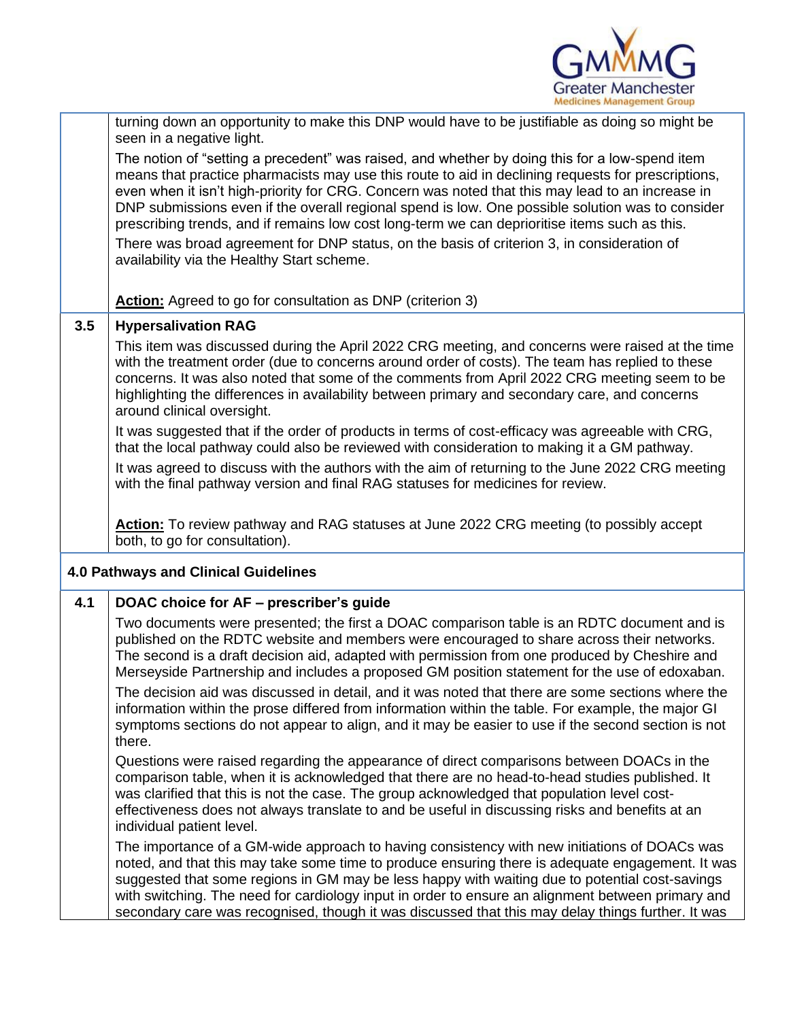

|     | turning down an opportunity to make this DNP would have to be justifiable as doing so might be<br>seen in a negative light.                                                                                                                                                                                                                                                                                                                                                                                   |
|-----|---------------------------------------------------------------------------------------------------------------------------------------------------------------------------------------------------------------------------------------------------------------------------------------------------------------------------------------------------------------------------------------------------------------------------------------------------------------------------------------------------------------|
|     | The notion of "setting a precedent" was raised, and whether by doing this for a low-spend item<br>means that practice pharmacists may use this route to aid in declining requests for prescriptions,<br>even when it isn't high-priority for CRG. Concern was noted that this may lead to an increase in<br>DNP submissions even if the overall regional spend is low. One possible solution was to consider<br>prescribing trends, and if remains low cost long-term we can deprioritise items such as this. |
|     | There was broad agreement for DNP status, on the basis of criterion 3, in consideration of<br>availability via the Healthy Start scheme.                                                                                                                                                                                                                                                                                                                                                                      |
|     | <b>Action:</b> Agreed to go for consultation as DNP (criterion 3)                                                                                                                                                                                                                                                                                                                                                                                                                                             |
| 3.5 | <b>Hypersalivation RAG</b>                                                                                                                                                                                                                                                                                                                                                                                                                                                                                    |
|     | This item was discussed during the April 2022 CRG meeting, and concerns were raised at the time<br>with the treatment order (due to concerns around order of costs). The team has replied to these<br>concerns. It was also noted that some of the comments from April 2022 CRG meeting seem to be<br>highlighting the differences in availability between primary and secondary care, and concerns<br>around clinical oversight.                                                                             |
|     | It was suggested that if the order of products in terms of cost-efficacy was agreeable with CRG,<br>that the local pathway could also be reviewed with consideration to making it a GM pathway.                                                                                                                                                                                                                                                                                                               |
|     | It was agreed to discuss with the authors with the aim of returning to the June 2022 CRG meeting<br>with the final pathway version and final RAG statuses for medicines for review.                                                                                                                                                                                                                                                                                                                           |
|     | <b>Action:</b> To review pathway and RAG statuses at June 2022 CRG meeting (to possibly accept<br>both, to go for consultation).                                                                                                                                                                                                                                                                                                                                                                              |
|     | <b>4.0 Pathways and Clinical Guidelines</b>                                                                                                                                                                                                                                                                                                                                                                                                                                                                   |
| 4.1 | DOAC choice for AF - prescriber's guide                                                                                                                                                                                                                                                                                                                                                                                                                                                                       |
|     | Two documents were presented; the first a DOAC comparison table is an RDTC document and is<br>published on the RDTC website and members were encouraged to share across their networks.<br>The second is a draft decision aid, adapted with permission from one produced by Cheshire and<br>Merseyside Partnership and includes a proposed GM position statement for the use of edoxaban.                                                                                                                     |
|     | The decision aid was discussed in detail, and it was noted that there are some sections where the<br>information within the prose differed from information within the table. For example, the major GI<br>symptoms sections do not appear to align, and it may be easier to use if the second section is not<br>there.                                                                                                                                                                                       |
|     | Questions were raised regarding the appearance of direct comparisons between DOACs in the<br>comparison table, when it is acknowledged that there are no head-to-head studies published. It<br>was clarified that this is not the case. The group acknowledged that population level cost-<br>effectiveness does not always translate to and be useful in discussing risks and benefits at an<br>individual patient level.                                                                                    |
|     | The importance of a GM-wide approach to having consistency with new initiations of DOACs was<br>noted, and that this may take some time to produce ensuring there is adequate engagement. It was<br>suggested that some regions in GM may be less happy with waiting due to potential cost-savings<br>with switching. The need for cardiology input in order to ensure an alignment between primary and<br>secondary care was recognised, though it was discussed that this may delay things further. It was  |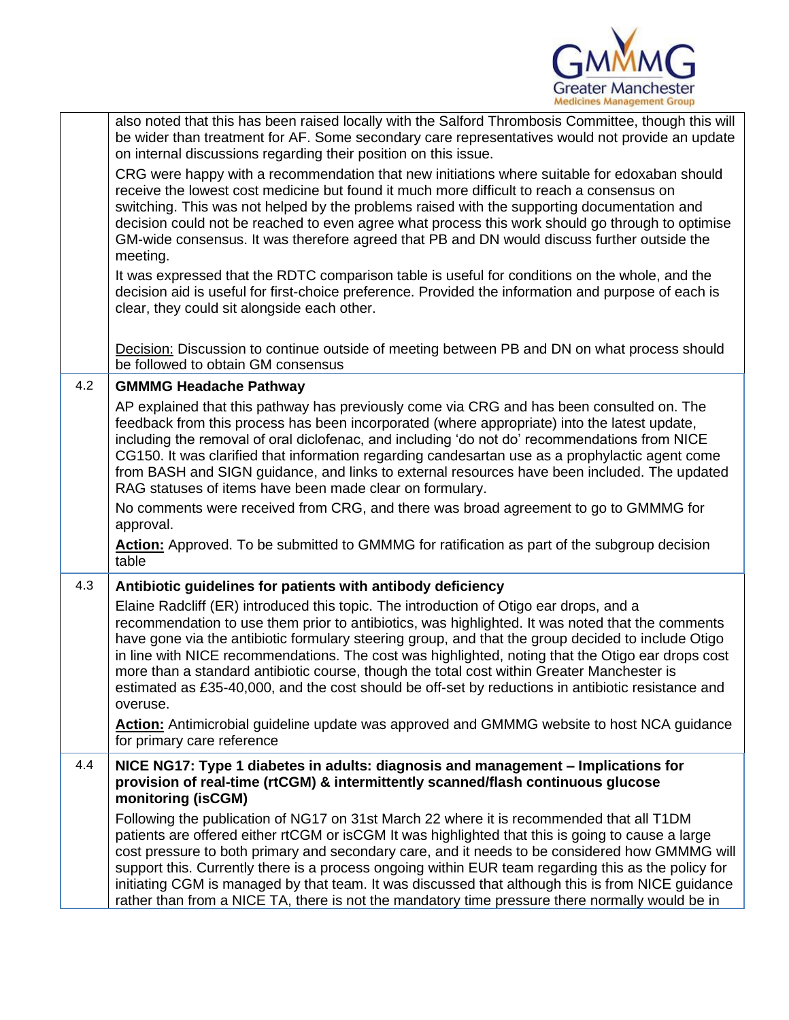

|     | also noted that this has been raised locally with the Salford Thrombosis Committee, though this will<br>be wider than treatment for AF. Some secondary care representatives would not provide an update<br>on internal discussions regarding their position on this issue.                                                                                                                                                                                                                                                                                                                                            |
|-----|-----------------------------------------------------------------------------------------------------------------------------------------------------------------------------------------------------------------------------------------------------------------------------------------------------------------------------------------------------------------------------------------------------------------------------------------------------------------------------------------------------------------------------------------------------------------------------------------------------------------------|
|     | CRG were happy with a recommendation that new initiations where suitable for edoxaban should<br>receive the lowest cost medicine but found it much more difficult to reach a consensus on<br>switching. This was not helped by the problems raised with the supporting documentation and<br>decision could not be reached to even agree what process this work should go through to optimise<br>GM-wide consensus. It was therefore agreed that PB and DN would discuss further outside the<br>meeting.                                                                                                               |
|     | It was expressed that the RDTC comparison table is useful for conditions on the whole, and the<br>decision aid is useful for first-choice preference. Provided the information and purpose of each is<br>clear, they could sit alongside each other.                                                                                                                                                                                                                                                                                                                                                                  |
|     | Decision: Discussion to continue outside of meeting between PB and DN on what process should<br>be followed to obtain GM consensus                                                                                                                                                                                                                                                                                                                                                                                                                                                                                    |
| 4.2 | <b>GMMMG Headache Pathway</b>                                                                                                                                                                                                                                                                                                                                                                                                                                                                                                                                                                                         |
|     | AP explained that this pathway has previously come via CRG and has been consulted on. The<br>feedback from this process has been incorporated (where appropriate) into the latest update,<br>including the removal of oral diclofenac, and including 'do not do' recommendations from NICE<br>CG150. It was clarified that information regarding candesartan use as a prophylactic agent come<br>from BASH and SIGN guidance, and links to external resources have been included. The updated<br>RAG statuses of items have been made clear on formulary.                                                             |
|     | No comments were received from CRG, and there was broad agreement to go to GMMMG for<br>approval.                                                                                                                                                                                                                                                                                                                                                                                                                                                                                                                     |
|     | Action: Approved. To be submitted to GMMMG for ratification as part of the subgroup decision<br>table                                                                                                                                                                                                                                                                                                                                                                                                                                                                                                                 |
| 4.3 | Antibiotic guidelines for patients with antibody deficiency                                                                                                                                                                                                                                                                                                                                                                                                                                                                                                                                                           |
|     | Elaine Radcliff (ER) introduced this topic. The introduction of Otigo ear drops, and a<br>recommendation to use them prior to antibiotics, was highlighted. It was noted that the comments<br>have gone via the antibiotic formulary steering group, and that the group decided to include Otigo<br>in line with NICE recommendations. The cost was highlighted, noting that the Otigo ear drops cost<br>more than a standard antibiotic course, though the total cost within Greater Manchester is<br>estimated as £35-40,000, and the cost should be off-set by reductions in antibiotic resistance and<br>overuse. |
|     | Action: Antimicrobial guideline update was approved and GMMMG website to host NCA guidance<br>for primary care reference                                                                                                                                                                                                                                                                                                                                                                                                                                                                                              |
| 4.4 | NICE NG17: Type 1 diabetes in adults: diagnosis and management – Implications for<br>provision of real-time (rtCGM) & intermittently scanned/flash continuous glucose<br>monitoring (isCGM)                                                                                                                                                                                                                                                                                                                                                                                                                           |
|     | Following the publication of NG17 on 31st March 22 where it is recommended that all T1DM<br>patients are offered either rtCGM or isCGM It was highlighted that this is going to cause a large<br>cost pressure to both primary and secondary care, and it needs to be considered how GMMMG will<br>support this. Currently there is a process ongoing within EUR team regarding this as the policy for<br>initiating CGM is managed by that team. It was discussed that although this is from NICE guidance<br>rather than from a NICE TA, there is not the mandatory time pressure there normally would be in        |